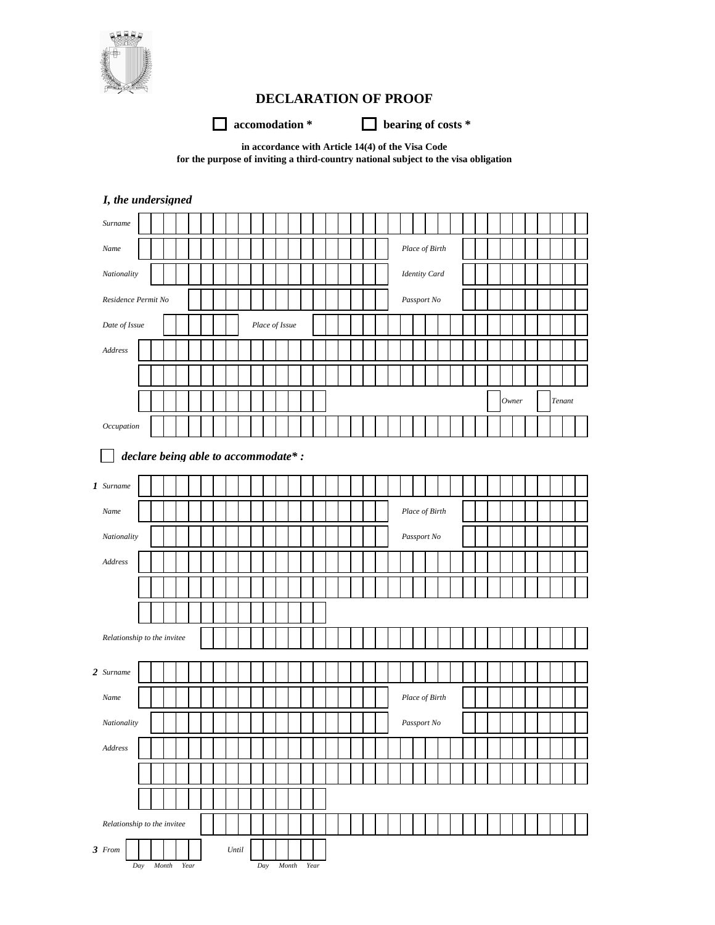

## **DECLARATION OF PROOF**

**accomodation \* bearing of costs \*** 

**in accordance with Article 14(4) of the Visa Code for the purpose of inviting a third-country national subject to the visa obligation**

| I, the undersigned                  |                               |                |                 |
|-------------------------------------|-------------------------------|----------------|-----------------|
| Surname                             |                               |                |                 |
| Name                                |                               | Place of Birth |                 |
| Nationality                         |                               | Identity Card  |                 |
| Residence Permit No                 |                               | Passport No    |                 |
| Date of Issue                       | Place of Issue                |                |                 |
| Address                             |                               |                |                 |
|                                     |                               |                |                 |
|                                     |                               |                | Tenant<br>Owner |
| Occupation                          |                               |                |                 |
|                                     |                               |                |                 |
| declare being able to accommodate*: |                               |                |                 |
| 1 Surname                           |                               |                |                 |
| Name                                |                               | Place of Birth |                 |
| Nationality                         |                               | Passport No    |                 |
| Address                             |                               |                |                 |
|                                     |                               |                |                 |
|                                     |                               |                |                 |
| Relationship to the invitee         |                               |                |                 |
|                                     |                               |                |                 |
| 2 Surname                           |                               |                |                 |
| Name                                |                               | Place of Birth |                 |
| Nationality                         |                               | Passport No    |                 |
| Address                             |                               |                |                 |
|                                     |                               |                |                 |
|                                     |                               |                |                 |
| Relationship to the invitee         |                               |                |                 |
| 3 From                              | $\ensuremath{\textit{Until}}$ |                |                 |
| Day<br>Month<br>Year                | Day<br>Month<br>Year          |                |                 |